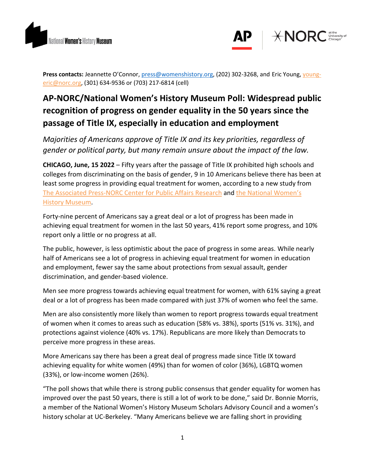



**Press contacts:** Jeannette O'Connor, [press@womenshistory.org,](mailto:press@womenshistory.org) (202) 302-3268, and Eric Young, [young](mailto:young-eric@norc.org)[eric@norc.org,](mailto:young-eric@norc.org) (301) 634-9536 or (703) 217-6814 (cell)

# **AP-NORC/National Women's History Museum Poll: Widespread public recognition of progress on gender equality in the 50 years since the passage of Title IX, especially in education and employment**

*Majorities of Americans approve of Title IX and its key priorities, regardless of gender or political party, but many remain unsure about the impact of the law.*

**CHICAGO, June, 15 2022** – Fifty years after the passage of Title IX prohibited high schools and colleges from discriminating on the basis of gender, 9 in 10 Americans believe there has been at least some progress in providing equal treatment for women, according to a new study from [The Associated Press-NORC Center for Public Affairs Research](http://www.apnorc.org/) and the [National Women's](https://www.womenshistory.org/)  [History Museum.](https://www.womenshistory.org/)

Forty-nine percent of Americans say a great deal or a lot of progress has been made in achieving equal treatment for women in the last 50 years, 41% report some progress, and 10% report only a little or no progress at all.

The public, however, is less optimistic about the pace of progress in some areas. While nearly half of Americans see a lot of progress in achieving equal treatment for women in education and employment, fewer say the same about protections from sexual assault, gender discrimination, and gender-based violence.

Men see more progress towards achieving equal treatment for women, with 61% saying a great deal or a lot of progress has been made compared with just 37% of women who feel the same.

Men are also consistently more likely than women to report progress towards equal treatment of women when it comes to areas such as education (58% vs. 38%), sports (51% vs. 31%), and protections against violence (40% vs. 17%). Republicans are more likely than Democrats to perceive more progress in these areas.

More Americans say there has been a great deal of progress made since Title IX toward achieving equality for white women (49%) than for women of color (36%), LGBTQ women (33%), or low-income women (26%).

"The poll shows that while there is strong public consensus that gender equality for women has improved over the past 50 years, there is still a lot of work to be done," said Dr. Bonnie Morris, a member of the National Women's History Museum Scholars Advisory Council and a women's history scholar at UC-Berkeley. "Many Americans believe we are falling short in providing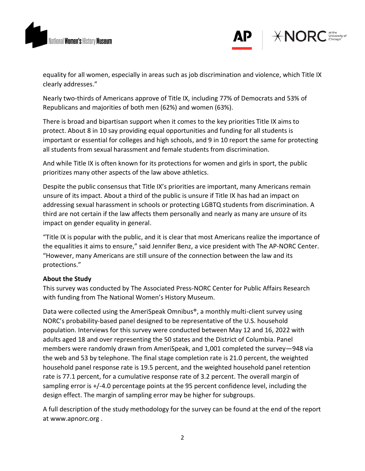



equality for all women, especially in areas such as job discrimination and violence, which Title IX clearly addresses."

Nearly two-thirds of Americans approve of Title IX, including 77% of Democrats and 53% of Republicans and majorities of both men (62%) and women (63%).

There is broad and bipartisan support when it comes to the key priorities Title IX aims to protect. About 8 in 10 say providing equal opportunities and funding for all students is important or essential for colleges and high schools, and 9 in 10 report the same for protecting all students from sexual harassment and female students from discrimination.

And while Title IX is often known for its protections for women and girls in sport, the public prioritizes many other aspects of the law above athletics.

Despite the public consensus that Title IX's priorities are important, many Americans remain unsure of its impact. About a third of the public is unsure if Title IX has had an impact on addressing sexual harassment in schools or protecting LGBTQ students from discrimination. A third are not certain if the law affects them personally and nearly as many are unsure of its impact on gender equality in general.

"Title IX is popular with the public, and it is clear that most Americans realize the importance of the equalities it aims to ensure," said Jennifer Benz, a vice president with The AP-NORC Center. "However, many Americans are still unsure of the connection between the law and its protections."

## **About the Study**

This survey was conducted by The Associated Press-NORC Center for Public Affairs Research with funding from The National Women's History Museum.

Data were collected using the AmeriSpeak Omnibus®, a monthly multi-client survey using NORC's probability-based panel designed to be representative of the U.S. household population. Interviews for this survey were conducted between May 12 and 16, 2022 with adults aged 18 and over representing the 50 states and the District of Columbia. Panel members were randomly drawn from AmeriSpeak, and 1,001 completed the survey—948 via the web and 53 by telephone. The final stage completion rate is 21.0 percent, the weighted household panel response rate is 19.5 percent, and the weighted household panel retention rate is 77.1 percent, for a cumulative response rate of 3.2 percent. The overall margin of sampling error is +/-4.0 percentage points at the 95 percent confidence level, including the design effect. The margin of sampling error may be higher for subgroups.

A full description of the study methodology for the survey can be found at the end of the report at www.apnorc.org .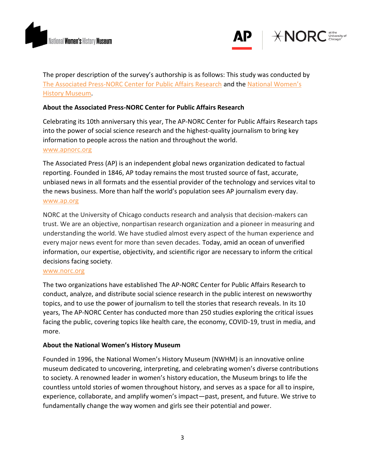



The proper description of the survey's authorship is as follows: This study was conducted by The [Associated Press-NORC Center for Public Affairs Research](http://apnorc.org/Pages/default.aspx) and the [National Women's](https://www.womenshistory.org/)  [History Museum.](https://www.womenshistory.org/)

# **About the Associated Press-NORC Center for Public Affairs Research**

Celebrating its 10th anniversary this year, The AP-NORC Center for Public Affairs Research taps into the power of social science research and the highest-quality journalism to bring key information to people across the nation and throughout the world. [www.apnorc.org](http://www.apnorc.org/)

The Associated Press (AP) is an independent global news organization dedicated to factual reporting. Founded in 1846, AP today remains the most trusted source of fast, accurate, unbiased news in all formats and the essential provider of the technology and services vital to the news business. More than half the world's population sees AP journalism every day. [www.ap.org](http://www.ap.org/)

NORC at the University of Chicago conducts research and analysis that decision-makers can trust. We are an objective, nonpartisan research organization and a pioneer in measuring and understanding the world. We have studied almost every aspect of the human experience and every major news event for more than seven decades. Today, amid an ocean of unverified information, our expertise, objectivity, and scientific rigor are necessary to inform the critical decisions facing society.

#### [www.norc.org](http://www.norc.org/)

The two organizations have established The AP-NORC Center for Public Affairs Research to conduct, analyze, and distribute social science research in the public interest on newsworthy topics, and to use the power of journalism to tell the stories that research reveals. In its 10 years, The AP-NORC Center has conducted more than 250 studies exploring the critical issues facing the public, covering topics like health care, the economy, COVID-19, trust in media, and more.

## **About the National Women's History Museum**

Founded in 1996, the National Women's History Museum (NWHM) is an innovative online museum dedicated to uncovering, interpreting, and celebrating women's diverse contributions to society. A renowned leader in women's history education, the Museum brings to life the countless untold stories of women throughout history, and serves as a space for all to inspire, experience, collaborate, and amplify women's impact—past, present, and future. We strive to fundamentally change the way women and girls see their potential and power.